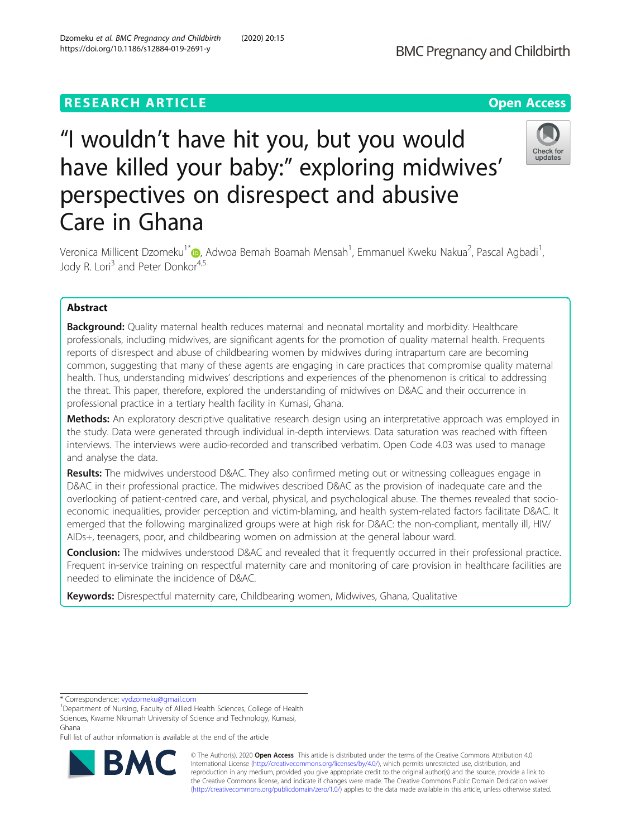# **RESEARCH ARTICLE Example 2014 12:30 The Open Access**

# "I wouldn't have hit you, but you would have killed your baby:" exploring midwives' perspectives on disrespect and abusive Care in Ghana



Veronica Millicent Dzomeku<sup>1[\\*](http://orcid.org/0000-0003-0568-5910)</sup>®, Adwoa Bemah Boamah Mensah<sup>1</sup>, Emmanuel Kweku Nakua<sup>2</sup>, Pascal Agbadi<sup>1</sup> , Jody R. Lori<sup>3</sup> and Peter Donkor<sup>4,5</sup>

## Abstract

**Background:** Quality maternal health reduces maternal and neonatal mortality and morbidity. Healthcare professionals, including midwives, are significant agents for the promotion of quality maternal health. Frequents reports of disrespect and abuse of childbearing women by midwives during intrapartum care are becoming common, suggesting that many of these agents are engaging in care practices that compromise quality maternal health. Thus, understanding midwives' descriptions and experiences of the phenomenon is critical to addressing the threat. This paper, therefore, explored the understanding of midwives on D&AC and their occurrence in professional practice in a tertiary health facility in Kumasi, Ghana.

Methods: An exploratory descriptive qualitative research design using an interpretative approach was employed in the study. Data were generated through individual in-depth interviews. Data saturation was reached with fifteen interviews. The interviews were audio-recorded and transcribed verbatim. Open Code 4.03 was used to manage and analyse the data.

Results: The midwives understood D&AC. They also confirmed meting out or witnessing colleagues engage in D&AC in their professional practice. The midwives described D&AC as the provision of inadequate care and the overlooking of patient-centred care, and verbal, physical, and psychological abuse. The themes revealed that socioeconomic inequalities, provider perception and victim-blaming, and health system-related factors facilitate D&AC. It emerged that the following marginalized groups were at high risk for D&AC: the non-compliant, mentally ill, HIV/ AIDs+, teenagers, poor, and childbearing women on admission at the general labour ward.

**Conclusion:** The midwives understood D&AC and revealed that it frequently occurred in their professional practice. Frequent in-service training on respectful maternity care and monitoring of care provision in healthcare facilities are needed to eliminate the incidence of D&AC.

Keywords: Disrespectful maternity care, Childbearing women, Midwives, Ghana, Qualitative

Full list of author information is available at the end of the article



© The Author(s). 2020 Open Access This article is distributed under the terms of the Creative Commons Attribution 4.0 International License [\(http://creativecommons.org/licenses/by/4.0/](http://creativecommons.org/licenses/by/4.0/)), which permits unrestricted use, distribution, and reproduction in any medium, provided you give appropriate credit to the original author(s) and the source, provide a link to the Creative Commons license, and indicate if changes were made. The Creative Commons Public Domain Dedication waiver [\(http://creativecommons.org/publicdomain/zero/1.0/](http://creativecommons.org/publicdomain/zero/1.0/)) applies to the data made available in this article, unless otherwise stated.

<sup>\*</sup> Correspondence: [vydzomeku@gmail.com](mailto:vydzomeku@gmail.com) <sup>1</sup>

<sup>&</sup>lt;sup>1</sup>Department of Nursing, Faculty of Allied Health Sciences, College of Health Sciences, Kwame Nkrumah University of Science and Technology, Kumasi, Ghana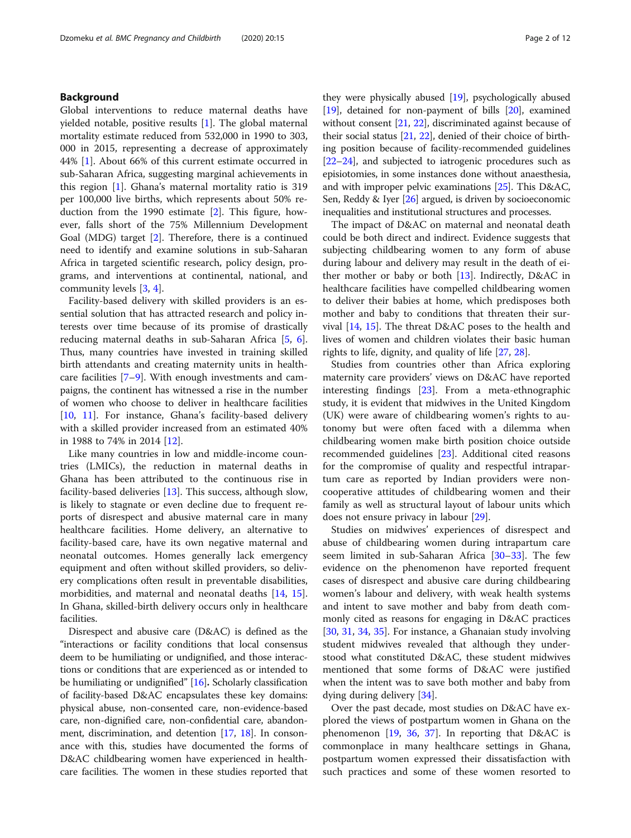#### Background

Global interventions to reduce maternal deaths have yielded notable, positive results [[1\]](#page-10-0). The global maternal mortality estimate reduced from 532,000 in 1990 to 303, 000 in 2015, representing a decrease of approximately 44% [[1\]](#page-10-0). About 66% of this current estimate occurred in sub-Saharan Africa, suggesting marginal achievements in this region [\[1\]](#page-10-0). Ghana's maternal mortality ratio is 319 per 100,000 live births, which represents about 50% reduction from the 1990 estimate [\[2](#page-10-0)]. This figure, however, falls short of the 75% Millennium Development Goal (MDG) target [[2\]](#page-10-0). Therefore, there is a continued need to identify and examine solutions in sub-Saharan Africa in targeted scientific research, policy design, programs, and interventions at continental, national, and community levels [[3,](#page-10-0) [4\]](#page-10-0).

Facility-based delivery with skilled providers is an essential solution that has attracted research and policy interests over time because of its promise of drastically reducing maternal deaths in sub-Saharan Africa [[5,](#page-10-0) [6](#page-10-0)]. Thus, many countries have invested in training skilled birth attendants and creating maternity units in healthcare facilities [[7](#page-10-0)–[9\]](#page-10-0). With enough investments and campaigns, the continent has witnessed a rise in the number of women who choose to deliver in healthcare facilities [[10,](#page-10-0) [11\]](#page-10-0). For instance, Ghana's facility-based delivery with a skilled provider increased from an estimated 40% in 1988 to 74% in 2014 [[12](#page-10-0)].

Like many countries in low and middle-income countries (LMICs), the reduction in maternal deaths in Ghana has been attributed to the continuous rise in facility-based deliveries [\[13\]](#page-10-0). This success, although slow, is likely to stagnate or even decline due to frequent reports of disrespect and abusive maternal care in many healthcare facilities. Home delivery, an alternative to facility-based care, have its own negative maternal and neonatal outcomes. Homes generally lack emergency equipment and often without skilled providers, so delivery complications often result in preventable disabilities, morbidities, and maternal and neonatal deaths [\[14](#page-10-0), [15](#page-10-0)]. In Ghana, skilled-birth delivery occurs only in healthcare facilities.

Disrespect and abusive care (D&AC) is defined as the "interactions or facility conditions that local consensus deem to be humiliating or undignified, and those interactions or conditions that are experienced as or intended to be humiliating or undignified" [[16](#page-10-0)]. Scholarly classification of facility-based D&AC encapsulates these key domains: physical abuse, non-consented care, non-evidence-based care, non-dignified care, non-confidential care, abandonment, discrimination, and detention [\[17,](#page-10-0) [18\]](#page-10-0). In consonance with this, studies have documented the forms of D&AC childbearing women have experienced in healthcare facilities. The women in these studies reported that

they were physically abused [\[19\]](#page-10-0), psychologically abused [[19](#page-10-0)], detained for non-payment of bills [[20](#page-10-0)], examined without consent [[21](#page-10-0), [22](#page-10-0)], discriminated against because of their social status [\[21,](#page-10-0) [22](#page-10-0)], denied of their choice of birthing position because of facility-recommended guidelines [[22](#page-10-0)–[24\]](#page-10-0), and subjected to iatrogenic procedures such as episiotomies, in some instances done without anaesthesia, and with improper pelvic examinations [[25](#page-10-0)]. This D&AC, Sen, Reddy & Iyer [[26](#page-10-0)] argued, is driven by socioeconomic inequalities and institutional structures and processes.

The impact of D&AC on maternal and neonatal death could be both direct and indirect. Evidence suggests that subjecting childbearing women to any form of abuse during labour and delivery may result in the death of either mother or baby or both [\[13\]](#page-10-0). Indirectly, D&AC in healthcare facilities have compelled childbearing women to deliver their babies at home, which predisposes both mother and baby to conditions that threaten their survival [[14,](#page-10-0) [15\]](#page-10-0). The threat D&AC poses to the health and lives of women and children violates their basic human rights to life, dignity, and quality of life [[27](#page-10-0), [28](#page-10-0)].

Studies from countries other than Africa exploring maternity care providers' views on D&AC have reported interesting findings [\[23\]](#page-10-0). From a meta-ethnographic study, it is evident that midwives in the United Kingdom (UK) were aware of childbearing women's rights to autonomy but were often faced with a dilemma when childbearing women make birth position choice outside recommended guidelines [\[23](#page-10-0)]. Additional cited reasons for the compromise of quality and respectful intrapartum care as reported by Indian providers were noncooperative attitudes of childbearing women and their family as well as structural layout of labour units which does not ensure privacy in labour [\[29\]](#page-10-0).

Studies on midwives' experiences of disrespect and abuse of childbearing women during intrapartum care seem limited in sub-Saharan Africa [[30](#page-10-0)–[33](#page-10-0)]. The few evidence on the phenomenon have reported frequent cases of disrespect and abusive care during childbearing women's labour and delivery, with weak health systems and intent to save mother and baby from death commonly cited as reasons for engaging in D&AC practices [[30,](#page-10-0) [31,](#page-10-0) [34,](#page-10-0) [35\]](#page-10-0). For instance, a Ghanaian study involving student midwives revealed that although they understood what constituted D&AC, these student midwives mentioned that some forms of D&AC were justified when the intent was to save both mother and baby from dying during delivery [[34](#page-10-0)].

Over the past decade, most studies on D&AC have explored the views of postpartum women in Ghana on the phenomenon  $[19, 36, 37]$  $[19, 36, 37]$  $[19, 36, 37]$  $[19, 36, 37]$  $[19, 36, 37]$  $[19, 36, 37]$ . In reporting that D&AC is commonplace in many healthcare settings in Ghana, postpartum women expressed their dissatisfaction with such practices and some of these women resorted to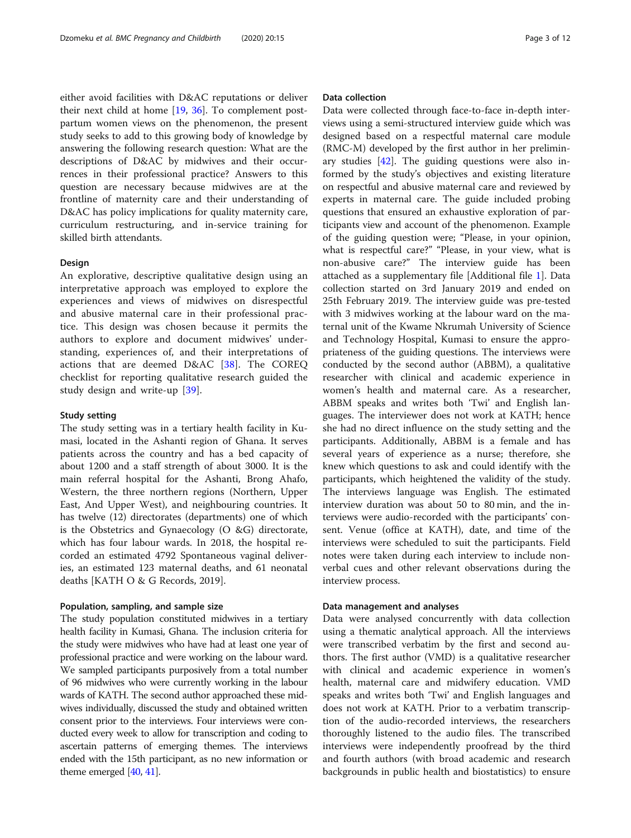either avoid facilities with D&AC reputations or deliver their next child at home [\[19](#page-10-0), [36\]](#page-10-0). To complement postpartum women views on the phenomenon, the present study seeks to add to this growing body of knowledge by answering the following research question: What are the descriptions of D&AC by midwives and their occurrences in their professional practice? Answers to this question are necessary because midwives are at the frontline of maternity care and their understanding of D&AC has policy implications for quality maternity care, curriculum restructuring, and in-service training for skilled birth attendants.

#### **Design**

An explorative, descriptive qualitative design using an interpretative approach was employed to explore the experiences and views of midwives on disrespectful and abusive maternal care in their professional practice. This design was chosen because it permits the authors to explore and document midwives' understanding, experiences of, and their interpretations of actions that are deemed D&AC [[38\]](#page-10-0). The COREQ checklist for reporting qualitative research guided the study design and write-up [\[39](#page-10-0)].

#### Study setting

The study setting was in a tertiary health facility in Kumasi, located in the Ashanti region of Ghana. It serves patients across the country and has a bed capacity of about 1200 and a staff strength of about 3000. It is the main referral hospital for the Ashanti, Brong Ahafo, Western, the three northern regions (Northern, Upper East, And Upper West), and neighbouring countries. It has twelve (12) directorates (departments) one of which is the Obstetrics and Gynaecology (O &G) directorate, which has four labour wards. In 2018, the hospital recorded an estimated 4792 Spontaneous vaginal deliveries, an estimated 123 maternal deaths, and 61 neonatal deaths [KATH O & G Records, 2019].

#### Population, sampling, and sample size

The study population constituted midwives in a tertiary health facility in Kumasi, Ghana. The inclusion criteria for the study were midwives who have had at least one year of professional practice and were working on the labour ward. We sampled participants purposively from a total number of 96 midwives who were currently working in the labour wards of KATH. The second author approached these midwives individually, discussed the study and obtained written consent prior to the interviews. Four interviews were conducted every week to allow for transcription and coding to ascertain patterns of emerging themes. The interviews ended with the 15th participant, as no new information or theme emerged [\[40,](#page-10-0) [41\]](#page-10-0).

#### Data collection

Data were collected through face-to-face in-depth interviews using a semi-structured interview guide which was designed based on a respectful maternal care module (RMC-M) developed by the first author in her preliminary studies  $[42]$  $[42]$ . The guiding questions were also informed by the study's objectives and existing literature on respectful and abusive maternal care and reviewed by experts in maternal care. The guide included probing questions that ensured an exhaustive exploration of participants view and account of the phenomenon. Example of the guiding question were; "Please, in your opinion, what is respectful care?" "Please, in your view, what is non-abusive care?" The interview guide has been attached as a supplementary file [Additional file [1\]](#page-9-0). Data collection started on 3rd January 2019 and ended on 25th February 2019. The interview guide was pre-tested with 3 midwives working at the labour ward on the maternal unit of the Kwame Nkrumah University of Science and Technology Hospital, Kumasi to ensure the appropriateness of the guiding questions. The interviews were conducted by the second author (ABBM), a qualitative researcher with clinical and academic experience in women's health and maternal care. As a researcher, ABBM speaks and writes both 'Twi' and English languages. The interviewer does not work at KATH; hence she had no direct influence on the study setting and the participants. Additionally, ABBM is a female and has several years of experience as a nurse; therefore, she knew which questions to ask and could identify with the participants, which heightened the validity of the study. The interviews language was English. The estimated interview duration was about 50 to 80 min, and the interviews were audio-recorded with the participants' consent. Venue (office at KATH), date, and time of the interviews were scheduled to suit the participants. Field notes were taken during each interview to include nonverbal cues and other relevant observations during the interview process.

#### Data management and analyses

Data were analysed concurrently with data collection using a thematic analytical approach. All the interviews were transcribed verbatim by the first and second authors. The first author (VMD) is a qualitative researcher with clinical and academic experience in women's health, maternal care and midwifery education. VMD speaks and writes both 'Twi' and English languages and does not work at KATH. Prior to a verbatim transcription of the audio-recorded interviews, the researchers thoroughly listened to the audio files. The transcribed interviews were independently proofread by the third and fourth authors (with broad academic and research backgrounds in public health and biostatistics) to ensure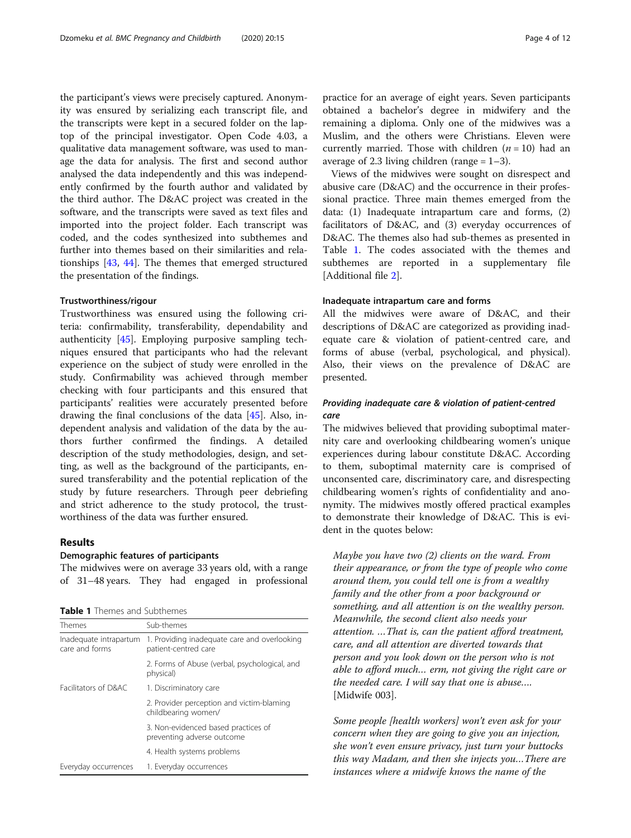the participant's views were precisely captured. Anonymity was ensured by serializing each transcript file, and the transcripts were kept in a secured folder on the laptop of the principal investigator. Open Code 4.03, a qualitative data management software, was used to manage the data for analysis. The first and second author analysed the data independently and this was independently confirmed by the fourth author and validated by the third author. The D&AC project was created in the software, and the transcripts were saved as text files and imported into the project folder. Each transcript was coded, and the codes synthesized into subthemes and further into themes based on their similarities and relationships [[43,](#page-10-0) [44\]](#page-10-0). The themes that emerged structured the presentation of the findings.

#### Trustworthiness/rigour

Trustworthiness was ensured using the following criteria: confirmability, transferability, dependability and authenticity [\[45](#page-10-0)]. Employing purposive sampling techniques ensured that participants who had the relevant experience on the subject of study were enrolled in the study. Confirmability was achieved through member checking with four participants and this ensured that participants' realities were accurately presented before drawing the final conclusions of the data [[45\]](#page-10-0). Also, independent analysis and validation of the data by the authors further confirmed the findings. A detailed description of the study methodologies, design, and setting, as well as the background of the participants, ensured transferability and the potential replication of the study by future researchers. Through peer debriefing and strict adherence to the study protocol, the trustworthiness of the data was further ensured.

### Results

#### Demographic features of participants

The midwives were on average 33 years old, with a range of 31–48 years. They had engaged in professional

Table 1 Themes and Subthemes

| Themes                                   | Sub-themes                                                           |
|------------------------------------------|----------------------------------------------------------------------|
| Inadequate intrapartum<br>care and forms | 1. Providing inadequate care and overlooking<br>patient-centred care |
|                                          | 2. Forms of Abuse (verbal, psychological, and<br>physical)           |
| Facilitators of D&AC                     | 1. Discriminatory care                                               |
|                                          | 2. Provider perception and victim-blaming<br>childbearing women/     |
|                                          | 3. Non-evidenced based practices of<br>preventing adverse outcome    |
|                                          | 4. Health systems problems                                           |
| Everyday occurrences                     | 1. Everyday occurrences                                              |
|                                          |                                                                      |

practice for an average of eight years. Seven participants obtained a bachelor's degree in midwifery and the remaining a diploma. Only one of the midwives was a Muslim, and the others were Christians. Eleven were currently married. Those with children  $(n = 10)$  had an average of 2.3 living children (range  $= 1-3$ ).

Views of the midwives were sought on disrespect and abusive care (D&AC) and the occurrence in their professional practice. Three main themes emerged from the data: (1) Inadequate intrapartum care and forms, (2) facilitators of D&AC, and (3) everyday occurrences of D&AC. The themes also had sub-themes as presented in Table 1. The codes associated with the themes and subthemes are reported in a supplementary file [Additional file [2](#page-9-0)].

#### Inadequate intrapartum care and forms

All the midwives were aware of D&AC, and their descriptions of D&AC are categorized as providing inadequate care & violation of patient-centred care, and forms of abuse (verbal, psychological, and physical). Also, their views on the prevalence of D&AC are presented.

#### Providing inadequate care & violation of patient-centred care

The midwives believed that providing suboptimal maternity care and overlooking childbearing women's unique experiences during labour constitute D&AC. According to them, suboptimal maternity care is comprised of unconsented care, discriminatory care, and disrespecting childbearing women's rights of confidentiality and anonymity. The midwives mostly offered practical examples to demonstrate their knowledge of D&AC. This is evident in the quotes below:

Maybe you have two (2) clients on the ward. From their appearance, or from the type of people who come around them, you could tell one is from a wealthy family and the other from a poor background or something, and all attention is on the wealthy person. Meanwhile, the second client also needs your attention. …That is, can the patient afford treatment, care, and all attention are diverted towards that person and you look down on the person who is not able to afford much… erm, not giving the right care or the needed care. I will say that one is abuse…. [Midwife 003].

Some people [health workers] won't even ask for your concern when they are going to give you an injection, she won't even ensure privacy, just turn your buttocks this way Madam, and then she injects you…There are instances where a midwife knows the name of the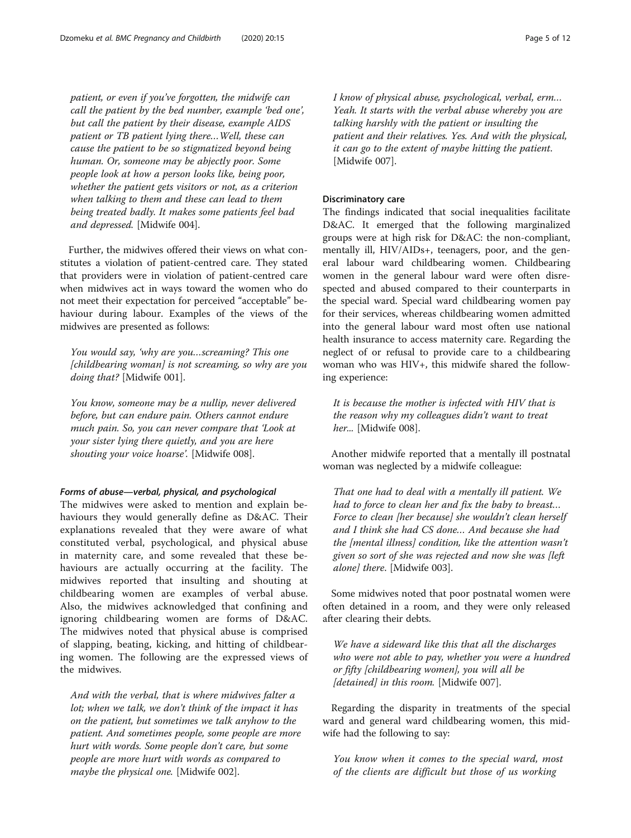patient, or even if you've forgotten, the midwife can call the patient by the bed number, example 'bed one', but call the patient by their disease, example AIDS patient or TB patient lying there…Well, these can cause the patient to be so stigmatized beyond being human. Or, someone may be abjectly poor. Some people look at how a person looks like, being poor, whether the patient gets visitors or not, as a criterion when talking to them and these can lead to them being treated badly. It makes some patients feel bad and depressed. [Midwife 004].

Further, the midwives offered their views on what constitutes a violation of patient-centred care. They stated that providers were in violation of patient-centred care when midwives act in ways toward the women who do not meet their expectation for perceived "acceptable" behaviour during labour. Examples of the views of the midwives are presented as follows:

You would say, 'why are you…screaming? This one [childbearing woman] is not screaming, so why are you doing that? [Midwife 001].

You know, someone may be a nullip, never delivered before, but can endure pain. Others cannot endure much pain. So, you can never compare that 'Look at your sister lying there quietly, and you are here shouting your voice hoarse'. [Midwife 008].

#### Forms of abuse—verbal, physical, and psychological

The midwives were asked to mention and explain behaviours they would generally define as D&AC. Their explanations revealed that they were aware of what constituted verbal, psychological, and physical abuse in maternity care, and some revealed that these behaviours are actually occurring at the facility. The midwives reported that insulting and shouting at childbearing women are examples of verbal abuse. Also, the midwives acknowledged that confining and ignoring childbearing women are forms of D&AC. The midwives noted that physical abuse is comprised of slapping, beating, kicking, and hitting of childbearing women. The following are the expressed views of the midwives.

And with the verbal, that is where midwives falter a lot; when we talk, we don't think of the impact it has on the patient, but sometimes we talk anyhow to the patient. And sometimes people, some people are more hurt with words. Some people don't care, but some people are more hurt with words as compared to maybe the physical one. [Midwife 002].

I know of physical abuse, psychological, verbal, erm… Yeah. It starts with the verbal abuse whereby you are talking harshly with the patient or insulting the patient and their relatives. Yes. And with the physical, it can go to the extent of maybe hitting the patient. [Midwife 007].

#### Discriminatory care

The findings indicated that social inequalities facilitate D&AC. It emerged that the following marginalized groups were at high risk for D&AC: the non-compliant, mentally ill, HIV/AIDs+, teenagers, poor, and the general labour ward childbearing women. Childbearing women in the general labour ward were often disrespected and abused compared to their counterparts in the special ward. Special ward childbearing women pay for their services, whereas childbearing women admitted into the general labour ward most often use national health insurance to access maternity care. Regarding the neglect of or refusal to provide care to a childbearing woman who was HIV+, this midwife shared the following experience:

It is because the mother is infected with HIV that is the reason why my colleagues didn't want to treat her... [Midwife 008].

Another midwife reported that a mentally ill postnatal woman was neglected by a midwife colleague:

That one had to deal with a mentally ill patient. We had to force to clean her and fix the baby to breast… Force to clean [her because] she wouldn't clean herself and I think she had CS done… And because she had the [mental illness] condition, like the attention wasn't given so sort of she was rejected and now she was [left alone] there. [Midwife 003].

Some midwives noted that poor postnatal women were often detained in a room, and they were only released after clearing their debts.

We have a sideward like this that all the discharges who were not able to pay, whether you were a hundred or fifty [childbearing women], you will all be [detained] in this room. [Midwife 007].

Regarding the disparity in treatments of the special ward and general ward childbearing women, this midwife had the following to say:

You know when it comes to the special ward, most of the clients are difficult but those of us working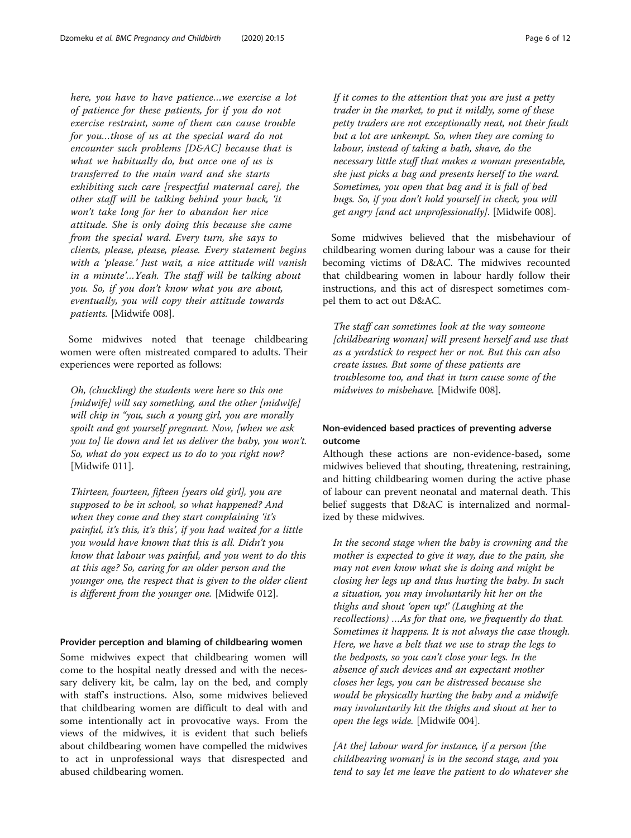here, you have to have patience…we exercise a lot of patience for these patients, for if you do not exercise restraint, some of them can cause trouble for you…those of us at the special ward do not encounter such problems [D&AC] because that is what we habitually do, but once one of us is transferred to the main ward and she starts exhibiting such care [respectful maternal care], the other staff will be talking behind your back, 'it won't take long for her to abandon her nice attitude. She is only doing this because she came from the special ward. Every turn, she says to clients, please, please, please. Every statement begins with a 'please.' Just wait, a nice attitude will vanish in a minute'…Yeah. The staff will be talking about you. So, if you don't know what you are about, eventually, you will copy their attitude towards patients. [Midwife 008].

Some midwives noted that teenage childbearing women were often mistreated compared to adults. Their experiences were reported as follows:

Oh, (chuckling) the students were here so this one [midwife] will say something, and the other [midwife] will chip in "you, such a young girl, you are morally spoilt and got yourself pregnant. Now, [when we ask you to] lie down and let us deliver the baby, you won't. So, what do you expect us to do to you right now? [Midwife 011].

Thirteen, fourteen, fifteen [years old girl], you are supposed to be in school, so what happened? And when they come and they start complaining 'it's painful, it's this, it's this', if you had waited for a little you would have known that this is all. Didn't you know that labour was painful, and you went to do this at this age? So, caring for an older person and the younger one, the respect that is given to the older client is different from the younger one. [Midwife 012].

#### Provider perception and blaming of childbearing women

Some midwives expect that childbearing women will come to the hospital neatly dressed and with the necessary delivery kit, be calm, lay on the bed, and comply with staff's instructions. Also, some midwives believed that childbearing women are difficult to deal with and some intentionally act in provocative ways. From the views of the midwives, it is evident that such beliefs about childbearing women have compelled the midwives to act in unprofessional ways that disrespected and abused childbearing women.

If it comes to the attention that you are just a petty trader in the market, to put it mildly, some of these petty traders are not exceptionally neat, not their fault but a lot are unkempt. So, when they are coming to labour, instead of taking a bath, shave, do the necessary little stuff that makes a woman presentable, she just picks a bag and presents herself to the ward. Sometimes, you open that bag and it is full of bed bugs. So, if you don't hold yourself in check, you will get angry [and act unprofessionally]. [Midwife 008].

Some midwives believed that the misbehaviour of childbearing women during labour was a cause for their becoming victims of D&AC. The midwives recounted that childbearing women in labour hardly follow their instructions, and this act of disrespect sometimes compel them to act out D&AC.

The staff can sometimes look at the way someone [childbearing woman] will present herself and use that as a yardstick to respect her or not. But this can also create issues. But some of these patients are troublesome too, and that in turn cause some of the midwives to misbehave. [Midwife 008].

#### Non-evidenced based practices of preventing adverse outcome

Although these actions are non-evidence-based, some midwives believed that shouting, threatening, restraining, and hitting childbearing women during the active phase of labour can prevent neonatal and maternal death. This belief suggests that D&AC is internalized and normalized by these midwives.

In the second stage when the baby is crowning and the mother is expected to give it way, due to the pain, she may not even know what she is doing and might be closing her legs up and thus hurting the baby. In such a situation, you may involuntarily hit her on the thighs and shout 'open up!' (Laughing at the recollections) …As for that one, we frequently do that. Sometimes it happens. It is not always the case though. Here, we have a belt that we use to strap the legs to the bedposts, so you can't close your legs. In the absence of such devices and an expectant mother closes her legs, you can be distressed because she would be physically hurting the baby and a midwife may involuntarily hit the thighs and shout at her to open the legs wide. [Midwife 004].

[At the] labour ward for instance, if a person [the childbearing woman] is in the second stage, and you tend to say let me leave the patient to do whatever she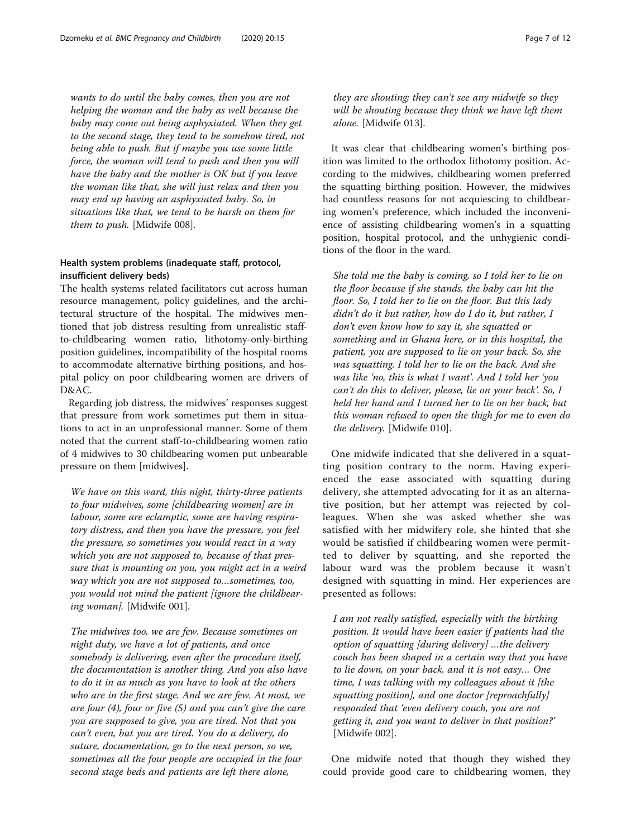wants to do until the baby comes, then you are not helping the woman and the baby as well because the baby may come out being asphyxiated. When they get to the second stage, they tend to be somehow tired, not being able to push. But if maybe you use some little force, the woman will tend to push and then you will have the baby and the mother is OK but if you leave the woman like that, she will just relax and then you may end up having an asphyxiated baby. So, in situations like that, we tend to be harsh on them for them to push. [Midwife 008].

#### Health system problems (inadequate staff, protocol, insufficient delivery beds)

The health systems related facilitators cut across human resource management, policy guidelines, and the architectural structure of the hospital. The midwives mentioned that job distress resulting from unrealistic staffto-childbearing women ratio, lithotomy-only-birthing position guidelines, incompatibility of the hospital rooms to accommodate alternative birthing positions, and hospital policy on poor childbearing women are drivers of D&AC.

Regarding job distress, the midwives' responses suggest that pressure from work sometimes put them in situations to act in an unprofessional manner. Some of them noted that the current staff-to-childbearing women ratio of 4 midwives to 30 childbearing women put unbearable pressure on them [midwives].

We have on this ward, this night, thirty-three patients to four midwives, some [childbearing women] are in labour, some are eclamptic, some are having respiratory distress, and then you have the pressure, you feel the pressure, so sometimes you would react in a way which you are not supposed to, because of that pressure that is mounting on you, you might act in a weird way which you are not supposed to…sometimes, too, you would not mind the patient [ignore the childbearing woman]. [Midwife 001].

The midwives too, we are few. Because sometimes on night duty, we have a lot of patients, and once somebody is delivering, even after the procedure itself, the documentation is another thing. And you also have to do it in as much as you have to look at the others who are in the first stage. And we are few. At most, we are four (4), four or five (5) and you can't give the care you are supposed to give, you are tired. Not that you can't even, but you are tired. You do a delivery, do suture, documentation, go to the next person, so we, sometimes all the four people are occupied in the four second stage beds and patients are left there alone,

they are shouting; they can't see any midwife so they will be shouting because they think we have left them alone. [Midwife 013].

It was clear that childbearing women's birthing position was limited to the orthodox lithotomy position. According to the midwives, childbearing women preferred the squatting birthing position. However, the midwives had countless reasons for not acquiescing to childbearing women's preference, which included the inconvenience of assisting childbearing women's in a squatting position, hospital protocol, and the unhygienic conditions of the floor in the ward.

She told me the baby is coming, so I told her to lie on the floor because if she stands, the baby can hit the floor. So, I told her to lie on the floor. But this lady didn't do it but rather, how do I do it, but rather, I don't even know how to say it, she squatted or something and in Ghana here, or in this hospital, the patient, you are supposed to lie on your back. So, she was squatting. I told her to lie on the back. And she was like 'no, this is what I want'. And I told her 'you can't do this to deliver, please, lie on your back'. So, I held her hand and I turned her to lie on her back, but this woman refused to open the thigh for me to even do the delivery. [Midwife 010].

One midwife indicated that she delivered in a squatting position contrary to the norm. Having experienced the ease associated with squatting during delivery, she attempted advocating for it as an alternative position, but her attempt was rejected by colleagues. When she was asked whether she was satisfied with her midwifery role, she hinted that she would be satisfied if childbearing women were permitted to deliver by squatting, and she reported the labour ward was the problem because it wasn't designed with squatting in mind. Her experiences are presented as follows:

I am not really satisfied, especially with the birthing position. It would have been easier if patients had the option of squatting [during delivery] …the delivery couch has been shaped in a certain way that you have to lie down, on your back, and it is not easy… One time, I was talking with my colleagues about it [the squatting position], and one doctor [reproachfully] responded that 'even delivery couch, you are not getting it, and you want to deliver in that position?' [Midwife 002].

One midwife noted that though they wished they could provide good care to childbearing women, they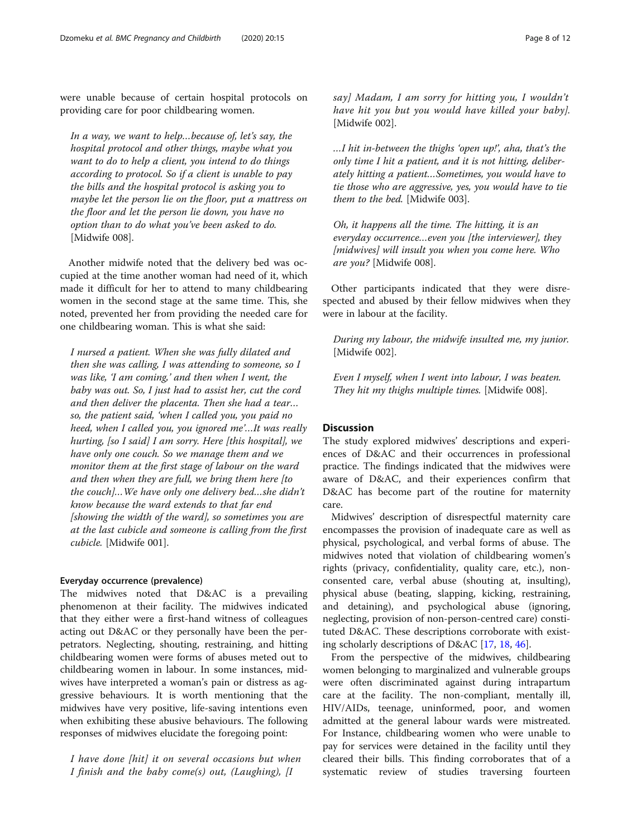were unable because of certain hospital protocols on providing care for poor childbearing women.

In a way, we want to help…because of, let's say, the hospital protocol and other things, maybe what you want to do to help a client, you intend to do things according to protocol. So if a client is unable to pay the bills and the hospital protocol is asking you to maybe let the person lie on the floor, put a mattress on the floor and let the person lie down, you have no option than to do what you've been asked to do. [Midwife 008].

Another midwife noted that the delivery bed was occupied at the time another woman had need of it, which made it difficult for her to attend to many childbearing women in the second stage at the same time. This, she noted, prevented her from providing the needed care for one childbearing woman. This is what she said:

I nursed a patient. When she was fully dilated and then she was calling, I was attending to someone, so I was like, 'I am coming,' and then when I went, the baby was out. So, I just had to assist her, cut the cord and then deliver the placenta. Then she had a tear… so, the patient said, 'when I called you, you paid no heed, when I called you, you ignored me'…It was really hurting, [so I said] I am sorry. Here [this hospital], we have only one couch. So we manage them and we monitor them at the first stage of labour on the ward and then when they are full, we bring them here [to the couch]…We have only one delivery bed…she didn't know because the ward extends to that far end [showing the width of the ward], so sometimes you are at the last cubicle and someone is calling from the first cubicle. [Midwife 001].

#### Everyday occurrence (prevalence)

The midwives noted that D&AC is a prevailing phenomenon at their facility. The midwives indicated that they either were a first-hand witness of colleagues acting out D&AC or they personally have been the perpetrators. Neglecting, shouting, restraining, and hitting childbearing women were forms of abuses meted out to childbearing women in labour. In some instances, midwives have interpreted a woman's pain or distress as aggressive behaviours. It is worth mentioning that the midwives have very positive, life-saving intentions even when exhibiting these abusive behaviours. The following responses of midwives elucidate the foregoing point:

I have done [hit] it on several occasions but when I finish and the baby come(s) out, (Laughing),  $[I]$ 

say] Madam, I am sorry for hitting you, I wouldn't have hit you but you would have killed your baby]. [Midwife 002].

…I hit in-between the thighs 'open up!', aha, that's the only time I hit a patient, and it is not hitting, deliberately hitting a patient…Sometimes, you would have to tie those who are aggressive, yes, you would have to tie them to the bed. [Midwife 003].

Oh, it happens all the time. The hitting, it is an everyday occurrence…even you [the interviewer], they [midwives] will insult you when you come here. Who are you? [Midwife 008].

Other participants indicated that they were disrespected and abused by their fellow midwives when they were in labour at the facility.

During my labour, the midwife insulted me, my junior. [Midwife 002].

Even I myself, when I went into labour, I was beaten. They hit my thighs multiple times. [Midwife 008].

#### **Discussion**

The study explored midwives' descriptions and experiences of D&AC and their occurrences in professional practice. The findings indicated that the midwives were aware of D&AC, and their experiences confirm that D&AC has become part of the routine for maternity care.

Midwives' description of disrespectful maternity care encompasses the provision of inadequate care as well as physical, psychological, and verbal forms of abuse. The midwives noted that violation of childbearing women's rights (privacy, confidentiality, quality care, etc.), nonconsented care, verbal abuse (shouting at, insulting), physical abuse (beating, slapping, kicking, restraining, and detaining), and psychological abuse (ignoring, neglecting, provision of non-person-centred care) constituted D&AC. These descriptions corroborate with existing scholarly descriptions of D&AC [[17](#page-10-0), [18](#page-10-0), [46](#page-10-0)].

From the perspective of the midwives, childbearing women belonging to marginalized and vulnerable groups were often discriminated against during intrapartum care at the facility. The non-compliant, mentally ill, HIV/AIDs, teenage, uninformed, poor, and women admitted at the general labour wards were mistreated. For Instance, childbearing women who were unable to pay for services were detained in the facility until they cleared their bills. This finding corroborates that of a systematic review of studies traversing fourteen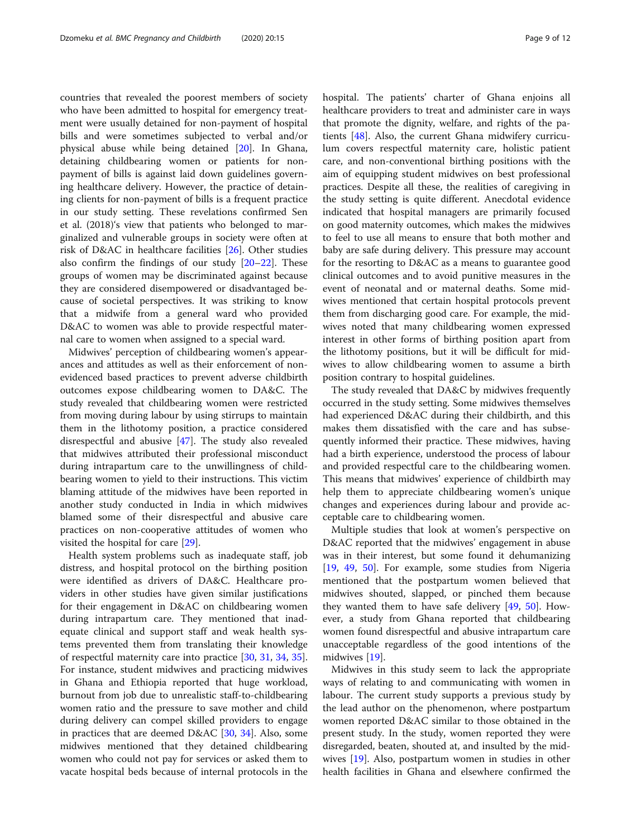countries that revealed the poorest members of society who have been admitted to hospital for emergency treatment were usually detained for non-payment of hospital bills and were sometimes subjected to verbal and/or physical abuse while being detained [\[20](#page-10-0)]. In Ghana, detaining childbearing women or patients for nonpayment of bills is against laid down guidelines governing healthcare delivery. However, the practice of detaining clients for non-payment of bills is a frequent practice in our study setting. These revelations confirmed Sen et al. (2018)'s view that patients who belonged to marginalized and vulnerable groups in society were often at risk of D&AC in healthcare facilities [[26\]](#page-10-0). Other studies also confirm the findings of our study  $[20-22]$  $[20-22]$  $[20-22]$  $[20-22]$ . These groups of women may be discriminated against because they are considered disempowered or disadvantaged because of societal perspectives. It was striking to know that a midwife from a general ward who provided D&AC to women was able to provide respectful maternal care to women when assigned to a special ward.

Midwives' perception of childbearing women's appearances and attitudes as well as their enforcement of nonevidenced based practices to prevent adverse childbirth outcomes expose childbearing women to DA&C. The study revealed that childbearing women were restricted from moving during labour by using stirrups to maintain them in the lithotomy position, a practice considered disrespectful and abusive [[47\]](#page-10-0). The study also revealed that midwives attributed their professional misconduct during intrapartum care to the unwillingness of childbearing women to yield to their instructions. This victim blaming attitude of the midwives have been reported in another study conducted in India in which midwives blamed some of their disrespectful and abusive care practices on non-cooperative attitudes of women who visited the hospital for care [\[29](#page-10-0)].

Health system problems such as inadequate staff, job distress, and hospital protocol on the birthing position were identified as drivers of DA&C. Healthcare providers in other studies have given similar justifications for their engagement in D&AC on childbearing women during intrapartum care. They mentioned that inadequate clinical and support staff and weak health systems prevented them from translating their knowledge of respectful maternity care into practice [\[30](#page-10-0), [31](#page-10-0), [34](#page-10-0), [35](#page-10-0)]. For instance, student midwives and practicing midwives in Ghana and Ethiopia reported that huge workload, burnout from job due to unrealistic staff-to-childbearing women ratio and the pressure to save mother and child during delivery can compel skilled providers to engage in practices that are deemed D&AC [[30](#page-10-0), [34\]](#page-10-0). Also, some midwives mentioned that they detained childbearing women who could not pay for services or asked them to vacate hospital beds because of internal protocols in the hospital. The patients' charter of Ghana enjoins all healthcare providers to treat and administer care in ways that promote the dignity, welfare, and rights of the patients [[48](#page-10-0)]. Also, the current Ghana midwifery curriculum covers respectful maternity care, holistic patient care, and non-conventional birthing positions with the aim of equipping student midwives on best professional practices. Despite all these, the realities of caregiving in the study setting is quite different. Anecdotal evidence indicated that hospital managers are primarily focused on good maternity outcomes, which makes the midwives to feel to use all means to ensure that both mother and baby are safe during delivery. This pressure may account for the resorting to D&AC as a means to guarantee good clinical outcomes and to avoid punitive measures in the event of neonatal and or maternal deaths. Some midwives mentioned that certain hospital protocols prevent them from discharging good care. For example, the midwives noted that many childbearing women expressed interest in other forms of birthing position apart from the lithotomy positions, but it will be difficult for midwives to allow childbearing women to assume a birth position contrary to hospital guidelines.

The study revealed that DA&C by midwives frequently occurred in the study setting. Some midwives themselves had experienced D&AC during their childbirth, and this makes them dissatisfied with the care and has subsequently informed their practice. These midwives, having had a birth experience, understood the process of labour and provided respectful care to the childbearing women. This means that midwives' experience of childbirth may help them to appreciate childbearing women's unique changes and experiences during labour and provide acceptable care to childbearing women.

Multiple studies that look at women's perspective on D&AC reported that the midwives' engagement in abuse was in their interest, but some found it dehumanizing [[19,](#page-10-0) [49,](#page-10-0) [50](#page-11-0)]. For example, some studies from Nigeria mentioned that the postpartum women believed that midwives shouted, slapped, or pinched them because they wanted them to have safe delivery [[49,](#page-10-0) [50\]](#page-11-0). However, a study from Ghana reported that childbearing women found disrespectful and abusive intrapartum care unacceptable regardless of the good intentions of the midwives [[19\]](#page-10-0).

Midwives in this study seem to lack the appropriate ways of relating to and communicating with women in labour. The current study supports a previous study by the lead author on the phenomenon, where postpartum women reported D&AC similar to those obtained in the present study. In the study, women reported they were disregarded, beaten, shouted at, and insulted by the midwives [[19\]](#page-10-0). Also, postpartum women in studies in other health facilities in Ghana and elsewhere confirmed the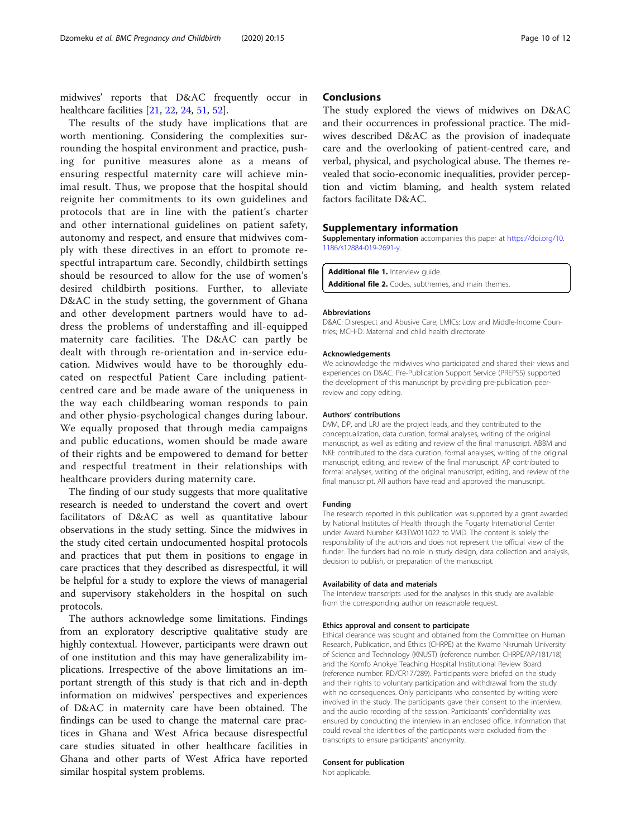<span id="page-9-0"></span>midwives' reports that D&AC frequently occur in healthcare facilities [[21,](#page-10-0) [22,](#page-10-0) [24,](#page-10-0) [51,](#page-11-0) [52](#page-11-0)].

The results of the study have implications that are worth mentioning. Considering the complexities surrounding the hospital environment and practice, pushing for punitive measures alone as a means of ensuring respectful maternity care will achieve minimal result. Thus, we propose that the hospital should reignite her commitments to its own guidelines and protocols that are in line with the patient's charter and other international guidelines on patient safety, autonomy and respect, and ensure that midwives comply with these directives in an effort to promote respectful intrapartum care. Secondly, childbirth settings should be resourced to allow for the use of women's desired childbirth positions. Further, to alleviate D&AC in the study setting, the government of Ghana and other development partners would have to address the problems of understaffing and ill-equipped maternity care facilities. The D&AC can partly be dealt with through re-orientation and in-service education. Midwives would have to be thoroughly educated on respectful Patient Care including patientcentred care and be made aware of the uniqueness in the way each childbearing woman responds to pain and other physio-psychological changes during labour. We equally proposed that through media campaigns and public educations, women should be made aware of their rights and be empowered to demand for better and respectful treatment in their relationships with healthcare providers during maternity care.

The finding of our study suggests that more qualitative research is needed to understand the covert and overt facilitators of D&AC as well as quantitative labour observations in the study setting. Since the midwives in the study cited certain undocumented hospital protocols and practices that put them in positions to engage in care practices that they described as disrespectful, it will be helpful for a study to explore the views of managerial and supervisory stakeholders in the hospital on such protocols.

The authors acknowledge some limitations. Findings from an exploratory descriptive qualitative study are highly contextual. However, participants were drawn out of one institution and this may have generalizability implications. Irrespective of the above limitations an important strength of this study is that rich and in-depth information on midwives' perspectives and experiences of D&AC in maternity care have been obtained. The findings can be used to change the maternal care practices in Ghana and West Africa because disrespectful care studies situated in other healthcare facilities in Ghana and other parts of West Africa have reported similar hospital system problems.

#### **Conclusions**

The study explored the views of midwives on D&AC and their occurrences in professional practice. The midwives described D&AC as the provision of inadequate care and the overlooking of patient-centred care, and verbal, physical, and psychological abuse. The themes revealed that socio-economic inequalities, provider perception and victim blaming, and health system related factors facilitate D&AC.

#### Supplementary information

Supplementary information accompanies this paper at [https://doi.org/10.](https://doi.org/10.1186/s12884-019-2691-y) [1186/s12884-019-2691-y](https://doi.org/10.1186/s12884-019-2691-y).

Additional file 1. Interview quide. Additional file 2. Codes, subthemes, and main themes.

#### Abbreviations

D&AC: Disrespect and Abusive Care; LMICs: Low and Middle-Income Countries; MCH-D: Maternal and child health directorate

#### Acknowledgements

We acknowledge the midwives who participated and shared their views and experiences on D&AC. Pre-Publication Support Service (PREPSS) supported the development of this manuscript by providing pre-publication peerreview and copy editing.

#### Authors' contributions

DVM, DP, and LRJ are the project leads, and they contributed to the conceptualization, data curation, formal analyses, writing of the original manuscript, as well as editing and review of the final manuscript. ABBM and NKE contributed to the data curation, formal analyses, writing of the original manuscript, editing, and review of the final manuscript. AP contributed to formal analyses, writing of the original manuscript, editing, and review of the final manuscript. All authors have read and approved the manuscript.

#### Funding

The research reported in this publication was supported by a grant awarded by National Institutes of Health through the Fogarty International Center under Award Number K43TW011022 to VMD. The content is solely the responsibility of the authors and does not represent the official view of the funder. The funders had no role in study design, data collection and analysis, decision to publish, or preparation of the manuscript.

#### Availability of data and materials

The interview transcripts used for the analyses in this study are available from the corresponding author on reasonable request.

#### Ethics approval and consent to participate

Ethical clearance was sought and obtained from the Committee on Human Research, Publication, and Ethics (CHRPE) at the Kwame Nkrumah University of Science and Technology (KNUST) (reference number: CHRPE/AP/181/18) and the Komfo Anokye Teaching Hospital Institutional Review Board (reference number: RD/CR17/289). Participants were briefed on the study and their rights to voluntary participation and withdrawal from the study with no consequences. Only participants who consented by writing were involved in the study. The participants gave their consent to the interview, and the audio recording of the session. Participants' confidentiality was ensured by conducting the interview in an enclosed office. Information that could reveal the identities of the participants were excluded from the transcripts to ensure participants' anonymity.

#### Consent for publication

Not applicable.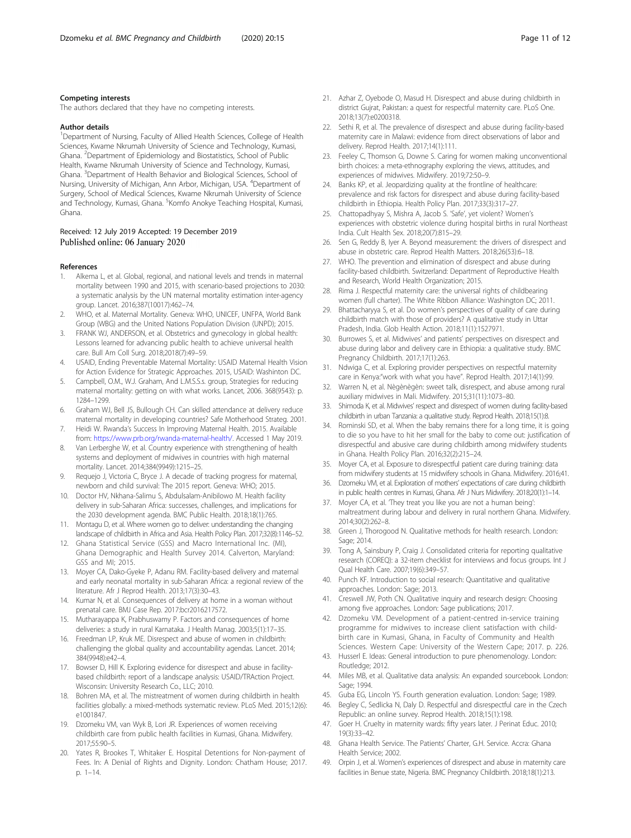#### <span id="page-10-0"></span>Competing interests

The authors declared that they have no competing interests.

#### Author details

<sup>1</sup>Department of Nursing, Faculty of Allied Health Sciences, College of Health Sciences, Kwame Nkrumah University of Science and Technology, Kumasi, Ghana. <sup>2</sup> Department of Epidemiology and Biostatistics, School of Public Health, Kwame Nkrumah University of Science and Technology, Kumasi, Ghana. <sup>3</sup>Department of Health Behavior and Biological Sciences, School of Nursing, University of Michigan, Ann Arbor, Michigan, USA. <sup>4</sup>Department of Surgery, School of Medical Sciences, Kwame Nkrumah University of Science and Technology, Kumasi, Ghana. <sup>5</sup>Komfo Anokye Teaching Hospital, Kumasi, Ghana.

#### Received: 12 July 2019 Accepted: 19 December 2019 Published online: 06 January 2020

#### References

- Alkema L, et al. Global, regional, and national levels and trends in maternal mortality between 1990 and 2015, with scenario-based projections to 2030: a systematic analysis by the UN maternal mortality estimation inter-agency group. Lancet. 2016;387(10017):462–74.
- 2. WHO, et al. Maternal Mortality. Geneva: WHO, UNICEF, UNFPA, World Bank Group (WBG) and the United Nations Population Division (UNPD); 2015.
- 3. FRANK WJ, ANDERSON, et al. Obstetrics and gynecology in global health: Lessons learned for advancing public health to achieve universal health care. Bull Am Coll Surg. 2018;2018(7):49–59.
- 4. USAID, Ending Preventable Maternal Mortality: USAID Maternal Health Vision for Action Evidence for Strategic Approaches. 2015, USAID: Washinton DC.
- 5. Campbell, O.M., W.J. Graham, And L.M.S.S.s. group, Strategies for reducing maternal mortality: getting on with what works. Lancet, 2006. 368(9543): p. 1284–1299.
- 6. Graham WJ, Bell JS, Bullough CH. Can skilled attendance at delivery reduce maternal mortality in developing countries? Safe Motherhood Strateg. 2001.
- 7. Heidi W. Rwanda's Success In Improving Maternal Health. 2015. Available from: [https://www.prb.org/rwanda-maternal-health/.](https://www.prb.org/rwanda-maternal-health/) Accessed 1 May 2019.
- 8. Van Lerberghe W, et al. Country experience with strengthening of health systems and deployment of midwives in countries with high maternal mortality. Lancet. 2014;384(9949):1215–25.
- 9. Requejo J, Victoria C, Bryce J. A decade of tracking progress for maternal, newborn and child survival: The 2015 report. Geneva: WHO; 2015.
- 10. Doctor HV, Nkhana-Salimu S, Abdulsalam-Anibilowo M. Health facility delivery in sub-Saharan Africa: successes, challenges, and implications for the 2030 development agenda. BMC Public Health. 2018;18(1):765.
- 11. Montagu D, et al. Where women go to deliver: understanding the changing landscape of childbirth in Africa and Asia. Health Policy Plan. 2017;32(8):1146–52.
- 12. Ghana Statistical Service (GSS) and Macro International Inc. (MI), Ghana Demographic and Health Survey 2014. Calverton, Maryland: GSS and MI; 2015.
- 13. Moyer CA, Dako-Gyeke P, Adanu RM. Facility-based delivery and maternal and early neonatal mortality in sub-Saharan Africa: a regional review of the literature. Afr J Reprod Health. 2013;17(3):30–43.
- 14. Kumar N, et al. Consequences of delivery at home in a woman without prenatal care. BMJ Case Rep. 2017:bcr2016217572.
- 15. Mutharayappa K, Prabhuswamy P. Factors and consequences of home deliveries: a study in rural Karnataka. J Health Manag. 2003;5(1):17–35.
- 16. Freedman LP, Kruk ME. Disrespect and abuse of women in childbirth: challenging the global quality and accountability agendas. Lancet. 2014; 384(9948):e42–4.
- 17. Bowser D, Hill K. Exploring evidence for disrespect and abuse in facilitybased childbirth: report of a landscape analysis: USAID/TRAction Project. Wisconsin: University Research Co., LLC; 2010.
- 18. Bohren MA, et al. The mistreatment of women during childbirth in health facilities globally: a mixed-methods systematic review. PLoS Med. 2015;12(6): e1001847.
- 19. Dzomeku VM, van Wyk B, Lori JR. Experiences of women receiving childbirth care from public health facilities in Kumasi, Ghana. Midwifery. 2017;55:90–5.
- 20. Yates R, Brookes T, Whitaker E. Hospital Detentions for Non-payment of Fees. In: A Denial of Rights and Dignity. London: Chatham House; 2017. p. 1–14.
- 21. Azhar Z, Oyebode O, Masud H. Disrespect and abuse during childbirth in district Gujrat, Pakistan: a quest for respectful maternity care. PLoS One. 2018;13(7):e0200318.
- 22. Sethi R, et al. The prevalence of disrespect and abuse during facility-based maternity care in Malawi: evidence from direct observations of labor and delivery. Reprod Health. 2017;14(1):111.
- 23. Feeley C, Thomson G, Downe S. Caring for women making unconventional birth choices: a meta-ethnography exploring the views, attitudes, and experiences of midwives. Midwifery. 2019;72:50–9.
- 24. Banks KP, et al. Jeopardizing quality at the frontline of healthcare: prevalence and risk factors for disrespect and abuse during facility-based childbirth in Ethiopia. Health Policy Plan. 2017;33(3):317–27.
- 25. Chattopadhyay S, Mishra A, Jacob S. 'Safe', yet violent? Women's experiences with obstetric violence during hospital births in rural Northeast India. Cult Health Sex. 2018;20(7):815–29.
- 26. Sen G, Reddy B, Iyer A. Beyond measurement: the drivers of disrespect and abuse in obstetric care. Reprod Health Matters. 2018;26(53):6–18.
- 27. WHO. The prevention and elimination of disrespect and abuse during facility-based childbirth. Switzerland: Department of Reproductive Health and Research, World Health Organization; 2015.
- 28. Rima J. Respectful maternity care: the universal rights of childbearing women (full charter). The White Ribbon Alliance: Washington DC; 2011.
- 29. Bhattacharyya S, et al. Do women's perspectives of quality of care during childbirth match with those of providers? A qualitative study in Uttar Pradesh, India. Glob Health Action. 2018;11(1):1527971.
- 30. Burrowes S, et al. Midwives' and patients' perspectives on disrespect and abuse during labor and delivery care in Ethiopia: a qualitative study. BMC Pregnancy Childbirth. 2017;17(1):263.
- 31. Ndwiga C, et al. Exploring provider perspectives on respectful maternity care in Kenya:"work with what you have". Reprod Health. 2017;14(1):99.
- 32. Warren N, et al. Nègènègèn: sweet talk, disrespect, and abuse among rural auxiliary midwives in Mali. Midwifery. 2015;31(11):1073–80.
- 33. Shimoda K, et al. Midwives' respect and disrespect of women during facility-based childbirth in urban Tanzania: a qualitative study. Reprod Health. 2018;15(1):8.
- 34. Rominski SD, et al. When the baby remains there for a long time, it is going to die so you have to hit her small for the baby to come out: justification of disrespectful and abusive care during childbirth among midwifery students in Ghana. Health Policy Plan. 2016;32(2):215–24.
- 35. Moyer CA, et al. Exposure to disrespectful patient care during training: data from midwifery students at 15 midwifery schools in Ghana. Midwifery. 2016;41.
- 36. Dzomeku VM, et al. Exploration of mothers' expectations of care during childbirth in public health centres in Kumasi, Ghana. Afr J Nurs Midwifery. 2018;20(1):1–14.
- Moyer CA, et al. They treat you like you are not a human being' maltreatment during labour and delivery in rural northern Ghana. Midwifery. 2014;30(2):262–8.
- 38. Green J, Thorogood N. Qualitative methods for health research. London: Sage; 2014.
- 39. Tong A, Sainsbury P, Craig J. Consolidated criteria for reporting qualitative research (COREQ): a 32-item checklist for interviews and focus groups. Int J Qual Health Care. 2007;19(6):349–57.
- 40. Punch KF. Introduction to social research: Quantitative and qualitative approaches. London: Sage; 2013.
- 41. Creswell JW, Poth CN. Qualitative inquiry and research design: Choosing among five approaches. London: Sage publications; 2017.
- 42. Dzomeku VM. Development of a patient-centred in-service training programme for midwives to increase client satisfaction with childbirth care in Kumasi, Ghana, in Faculty of Community and Health Sciences. Western Cape: University of the Western Cape; 2017. p. 226.
- 43. Husserl E. Ideas: General introduction to pure phenomenology. London: Routledge; 2012.
- 44. Miles MB, et al. Qualitative data analysis: An expanded sourcebook. London: Sage: 1994
- 45. Guba EG, Lincoln YS. Fourth generation evaluation. London: Sage; 1989.
- 46. Begley C, Sedlicka N, Daly D. Respectful and disrespectful care in the Czech Republic: an online survey. Reprod Health. 2018;15(1):198.
- 47. Goer H. Cruelty in maternity wards: fifty years later. J Perinat Educ. 2010; 19(3):33–42.
- 48. Ghana Health Service. The Patients' Charter, G.H. Service. Accra: Ghana Health Service; 2002.
- 49. Orpin J, et al. Women's experiences of disrespect and abuse in maternity care facilities in Benue state, Nigeria. BMC Pregnancy Childbirth. 2018;18(1):213.